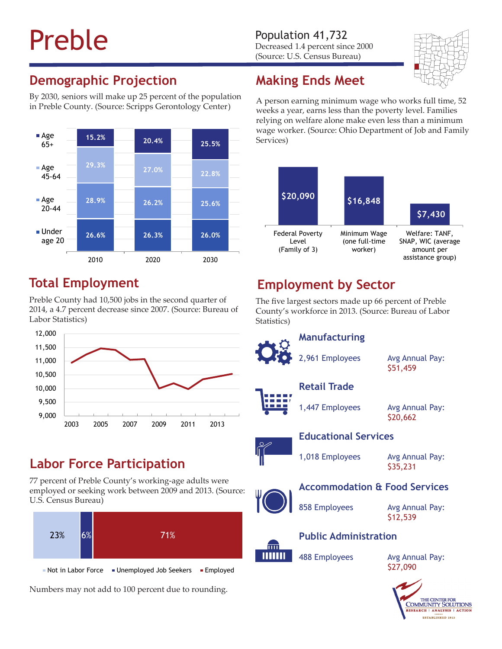# Preble Population 41,732<br>Decreased 1.4 percent sine

Decreased 1.4 percent since 2000 (Source: U.S. Census Bureau)



# **Demographic Projection**

By 2030, seniors will make up 25 percent of the population in Preble County. (Source: Scripps Gerontology Center)



#### **Total Employment**

Preble County had 10,500 jobs in the second quarter of 2014, a 4.7 percent decrease since 2007. (Source: Bureau of Labor Statistics)



#### **Labor Force Participation**

77 percent of Preble County's working-age adults were employed or seeking work between 2009 and 2013. (Source: U.S. Census Bureau)



Numbers may not add to 100 percent due to rounding.

# **Making Ends Meet**

A person earning minimum wage who works full time, 52 weeks a year, earns less than the poverty level. Families relying on welfare alone make even less than a minimum wage worker. (Source: Ohio Department of Job and Family Services)



# **Employment by Sector**

The five largest sectors made up 66 percent of Preble County's workforce in 2013. (Source: Bureau of Labor Statistics)

2,961 Employees Avg Annual Pay:

**Manufacturing**

\$51,459

**Retail Trade**

1,447 Employees Avg Annual Pay:

\$20,662

#### **Educational Services**

1,018 Employees Avg Annual Pay:

\$35,231

#### **Accommodation & Food Services**

858 Employees Avg Annual Pay:

\$12,539

### m

### **Public Administration**

488 Employees Avg Annual Pay: \$27,090